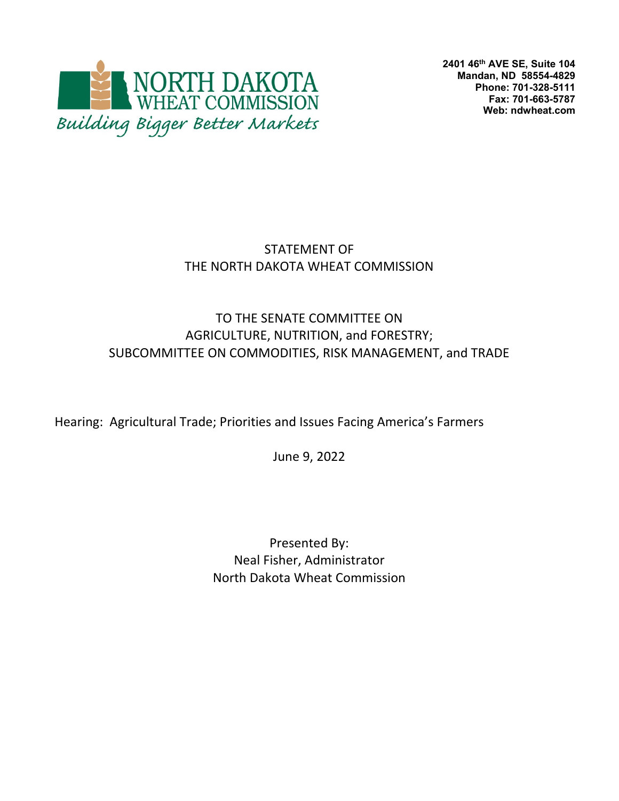

**2401 46th AVE SE, Suite 104 Mandan, ND 58554-4829 Phone: 701-328-5111 Fax: 701-663-5787 Web: ndwheat.com** 

# STATEMENT OF THE NORTH DAKOTA WHEAT COMMISSION

#### TO THE SENATE COMMITTEE ON AGRICULTURE, NUTRITION, and FORESTRY; SUBCOMMITTEE ON COMMODITIES, RISK MANAGEMENT, and TRADE

Hearing: Agricultural Trade; Priorities and Issues Facing America's Farmers

June 9, 2022

Presented By: Neal Fisher, Administrator North Dakota Wheat Commission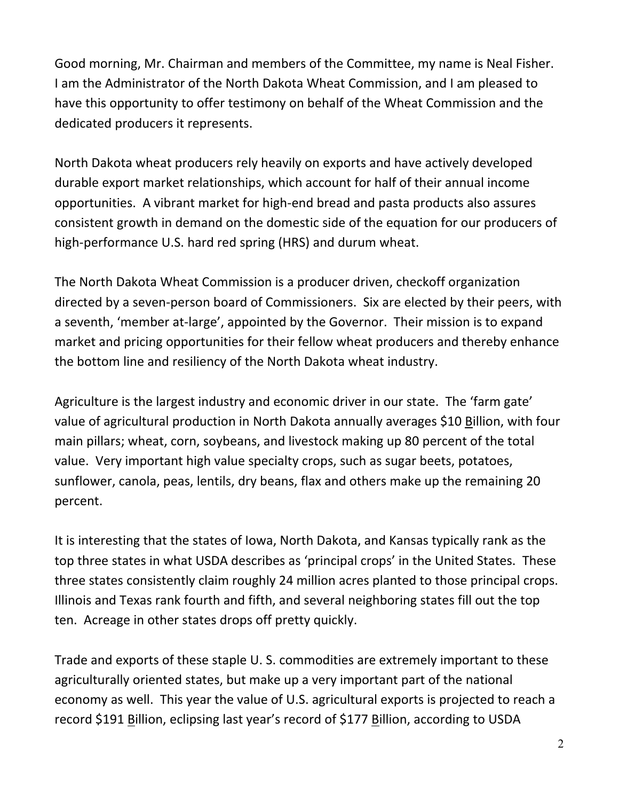Good morning, Mr. Chairman and members of the Committee, my name is Neal Fisher. I am the Administrator of the North Dakota Wheat Commission, and I am pleased to have this opportunity to offer testimony on behalf of the Wheat Commission and the dedicated producers it represents.

North Dakota wheat producers rely heavily on exports and have actively developed durable export market relationships, which account for half of their annual income opportunities. A vibrant market for high‐end bread and pasta products also assures consistent growth in demand on the domestic side of the equation for our producers of high-performance U.S. hard red spring (HRS) and durum wheat.

The North Dakota Wheat Commission is a producer driven, checkoff organization directed by a seven‐person board of Commissioners. Six are elected by their peers, with a seventh, 'member at-large', appointed by the Governor. Their mission is to expand market and pricing opportunities for their fellow wheat producers and thereby enhance the bottom line and resiliency of the North Dakota wheat industry.

Agriculture is the largest industry and economic driver in our state. The 'farm gate' value of agricultural production in North Dakota annually averages \$10 Billion, with four main pillars; wheat, corn, soybeans, and livestock making up 80 percent of the total value. Very important high value specialty crops, such as sugar beets, potatoes, sunflower, canola, peas, lentils, dry beans, flax and others make up the remaining 20 percent.

It is interesting that the states of Iowa, North Dakota, and Kansas typically rank as the top three states in what USDA describes as 'principal crops' in the United States. These three states consistently claim roughly 24 million acres planted to those principal crops. Illinois and Texas rank fourth and fifth, and several neighboring states fill out the top ten. Acreage in other states drops off pretty quickly.

Trade and exports of these staple U. S. commodities are extremely important to these agriculturally oriented states, but make up a very important part of the national economy as well. This year the value of U.S. agricultural exports is projected to reach a record \$191 Billion, eclipsing last year's record of \$177 Billion, according to USDA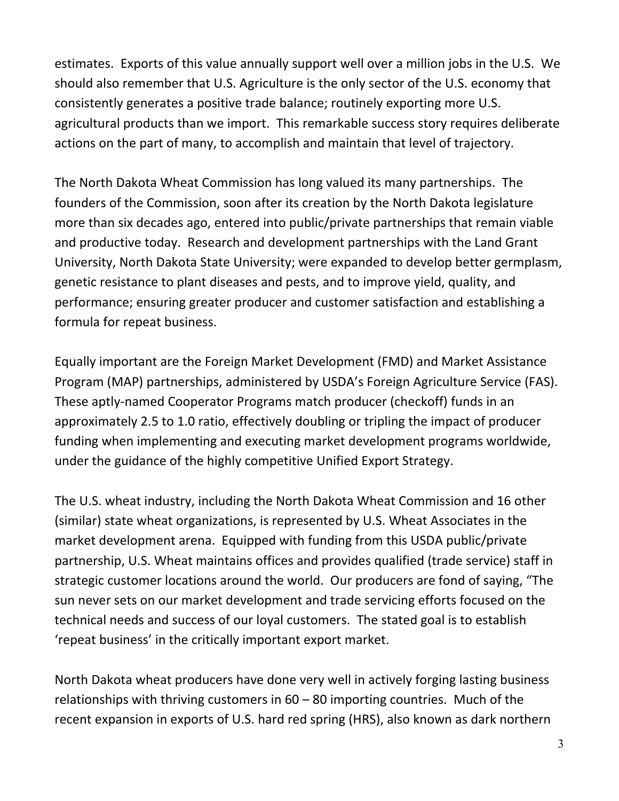estimates. Exports of this value annually support well over a million jobs in the U.S. We should also remember that U.S. Agriculture is the only sector of the U.S. economy that consistently generates a positive trade balance; routinely exporting more U.S. agricultural products than we import. This remarkable success story requires deliberate actions on the part of many, to accomplish and maintain that level of trajectory.

The North Dakota Wheat Commission has long valued its many partnerships. The founders of the Commission, soon after its creation by the North Dakota legislature more than six decades ago, entered into public/private partnerships that remain viable and productive today. Research and development partnerships with the Land Grant University, North Dakota State University; were expanded to develop better germplasm, genetic resistance to plant diseases and pests, and to improve yield, quality, and performance; ensuring greater producer and customer satisfaction and establishing a formula for repeat business.

Equally important are the Foreign Market Development (FMD) and Market Assistance Program (MAP) partnerships, administered by USDA's Foreign Agriculture Service (FAS). These aptly‐named Cooperator Programs match producer (checkoff) funds in an approximately 2.5 to 1.0 ratio, effectively doubling or tripling the impact of producer funding when implementing and executing market development programs worldwide, under the guidance of the highly competitive Unified Export Strategy.

The U.S. wheat industry, including the North Dakota Wheat Commission and 16 other (similar) state wheat organizations, is represented by U.S. Wheat Associates in the market development arena. Equipped with funding from this USDA public/private partnership, U.S. Wheat maintains offices and provides qualified (trade service) staff in strategic customer locations around the world. Our producers are fond of saying, "The sun never sets on our market development and trade servicing efforts focused on the technical needs and success of our loyal customers. The stated goal is to establish 'repeat business' in the critically important export market.

North Dakota wheat producers have done very well in actively forging lasting business relationships with thriving customers in  $60 - 80$  importing countries. Much of the recent expansion in exports of U.S. hard red spring (HRS), also known as dark northern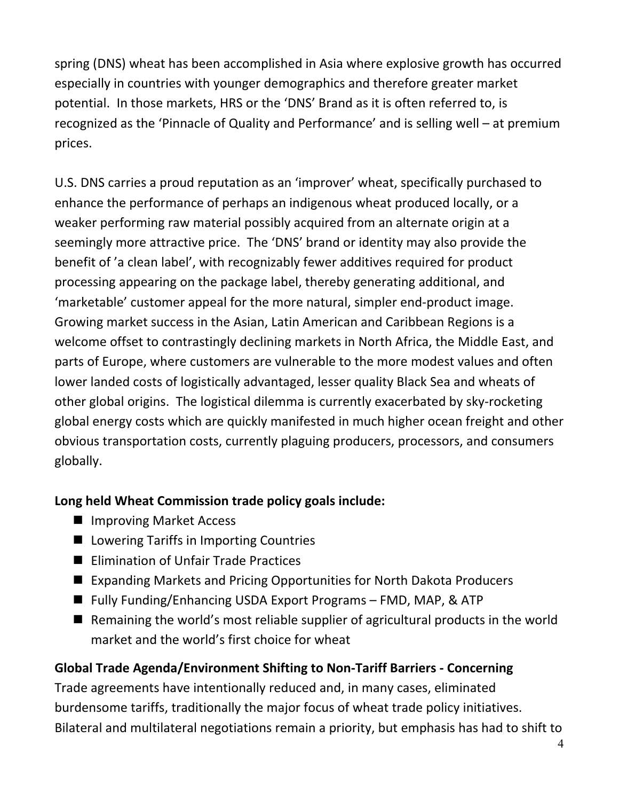spring (DNS) wheat has been accomplished in Asia where explosive growth has occurred especially in countries with younger demographics and therefore greater market potential. In those markets, HRS or the 'DNS' Brand as it is often referred to, is recognized as the 'Pinnacle of Quality and Performance' and is selling well – at premium prices.

U.S. DNS carries a proud reputation as an 'improver' wheat, specifically purchased to enhance the performance of perhaps an indigenous wheat produced locally, or a weaker performing raw material possibly acquired from an alternate origin at a seemingly more attractive price. The 'DNS' brand or identity may also provide the benefit of 'a clean label', with recognizably fewer additives required for product processing appearing on the package label, thereby generating additional, and 'marketable' customer appeal for the more natural, simpler end‐product image. Growing market success in the Asian, Latin American and Caribbean Regions is a welcome offset to contrastingly declining markets in North Africa, the Middle East, and parts of Europe, where customers are vulnerable to the more modest values and often lower landed costs of logistically advantaged, lesser quality Black Sea and wheats of other global origins. The logistical dilemma is currently exacerbated by sky‐rocketing global energy costs which are quickly manifested in much higher ocean freight and other obvious transportation costs, currently plaguing producers, processors, and consumers globally.

#### **Long held Wheat Commission trade policy goals include:**

- **Improving Market Access**
- **Lowering Tariffs in Importing Countries**
- Elimination of Unfair Trade Practices
- Expanding Markets and Pricing Opportunities for North Dakota Producers
- Fully Funding/Enhancing USDA Export Programs FMD, MAP, & ATP
- $\blacksquare$  Remaining the world's most reliable supplier of agricultural products in the world market and the world's first choice for wheat

# **Global Trade Agenda/Environment Shifting to Non‐Tariff Barriers ‐ Concerning**

Trade agreements have intentionally reduced and, in many cases, eliminated burdensome tariffs, traditionally the major focus of wheat trade policy initiatives. Bilateral and multilateral negotiations remain a priority, but emphasis has had to shift to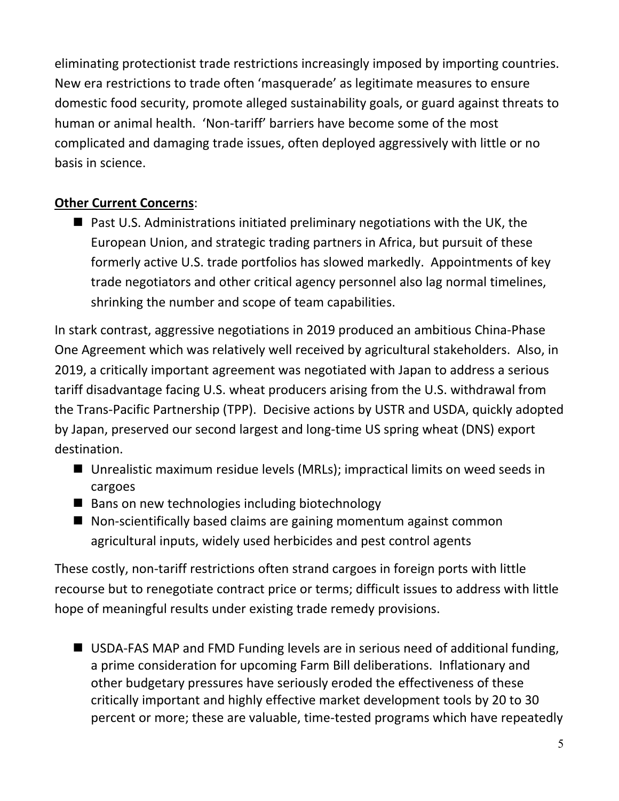eliminating protectionist trade restrictions increasingly imposed by importing countries. New era restrictions to trade often 'masquerade' as legitimate measures to ensure domestic food security, promote alleged sustainability goals, or guard against threats to human or animal health. 'Non-tariff' barriers have become some of the most complicated and damaging trade issues, often deployed aggressively with little or no basis in science.

# **Other Current Concerns**:

 $\blacksquare$  Past U.S. Administrations initiated preliminary negotiations with the UK, the European Union, and strategic trading partners in Africa, but pursuit of these formerly active U.S. trade portfolios has slowed markedly. Appointments of key trade negotiators and other critical agency personnel also lag normal timelines, shrinking the number and scope of team capabilities.

In stark contrast, aggressive negotiations in 2019 produced an ambitious China‐Phase One Agreement which was relatively well received by agricultural stakeholders. Also, in 2019, a critically important agreement was negotiated with Japan to address a serious tariff disadvantage facing U.S. wheat producers arising from the U.S. withdrawal from the Trans‐Pacific Partnership (TPP). Decisive actions by USTR and USDA, quickly adopted by Japan, preserved our second largest and long‐time US spring wheat (DNS) export destination.

- Unrealistic maximum residue levels (MRLs); impractical limits on weed seeds in cargoes
- $\blacksquare$  Bans on new technologies including biotechnology
- $\blacksquare$  Non-scientifically based claims are gaining momentum against common agricultural inputs, widely used herbicides and pest control agents

These costly, non-tariff restrictions often strand cargoes in foreign ports with little recourse but to renegotiate contract price or terms; difficult issues to address with little hope of meaningful results under existing trade remedy provisions.

■ USDA-FAS MAP and FMD Funding levels are in serious need of additional funding, a prime consideration for upcoming Farm Bill deliberations. Inflationary and other budgetary pressures have seriously eroded the effectiveness of these critically important and highly effective market development tools by 20 to 30 percent or more; these are valuable, time‐tested programs which have repeatedly